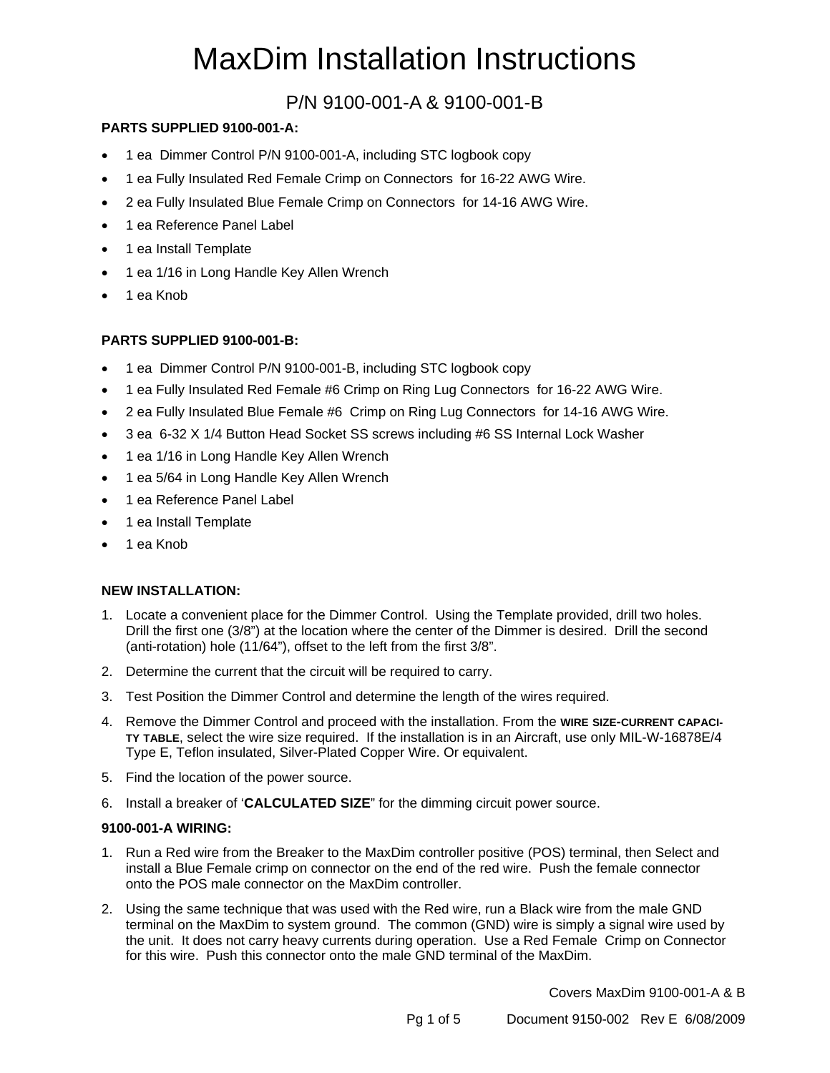# MaxDim Installation Instructions

### P/N 9100-001-A & 9100-001-B

#### **PARTS SUPPLIED 9100-001-A:**

- 1 ea Dimmer Control P/N 9100-001-A, including STC logbook copy
- 1 ea Fully Insulated Red Female Crimp on Connectors for 16-22 AWG Wire.
- 2 ea Fully Insulated Blue Female Crimp on Connectors for 14-16 AWG Wire.
- 1 ea Reference Panel Label
- 1 ea Install Template
- 1 ea 1/16 in Long Handle Key Allen Wrench
- 1 ea Knob

#### **PARTS SUPPLIED 9100-001-B:**

- 1 ea Dimmer Control P/N 9100-001-B, including STC logbook copy
- 1 ea Fully Insulated Red Female #6 Crimp on Ring Lug Connectors for 16-22 AWG Wire.
- 2 ea Fully Insulated Blue Female #6 Crimp on Ring Lug Connectors for 14-16 AWG Wire.
- 3 ea 6-32 X 1/4 Button Head Socket SS screws including #6 SS Internal Lock Washer
- 1 ea 1/16 in Long Handle Key Allen Wrench
- 1 ea 5/64 in Long Handle Key Allen Wrench
- 1 ea Reference Panel Label
- 1 ea Install Template
- 1 ea Knob

#### **NEW INSTALLATION:**

- 1. Locate a convenient place for the Dimmer Control. Using the Template provided, drill two holes. Drill the first one (3/8") at the location where the center of the Dimmer is desired. Drill the second (anti-rotation) hole (11/64"), offset to the left from the first 3/8".
- 2. Determine the current that the circuit will be required to carry.
- 3. Test Position the Dimmer Control and determine the length of the wires required.
- 4. Remove the Dimmer Control and proceed with the installation. From the **WIRE SIZE-CURRENT CAPACI-TY TABLE**, select the wire size required. If the installation is in an Aircraft, use only MIL-W-16878E/4 Type E, Teflon insulated, Silver-Plated Copper Wire. Or equivalent.
- 5. Find the location of the power source.
- 6. Install a breaker of '**CALCULATED SIZE**" for the dimming circuit power source.

#### **9100-001-A WIRING:**

- 1. Run a Red wire from the Breaker to the MaxDim controller positive (POS) terminal, then Select and install a Blue Female crimp on connector on the end of the red wire. Push the female connector onto the POS male connector on the MaxDim controller.
- 2. Using the same technique that was used with the Red wire, run a Black wire from the male GND terminal on the MaxDim to system ground. The common (GND) wire is simply a signal wire used by the unit. It does not carry heavy currents during operation. Use a Red Female Crimp on Connector for this wire. Push this connector onto the male GND terminal of the MaxDim.

Covers MaxDim 9100-001-A & B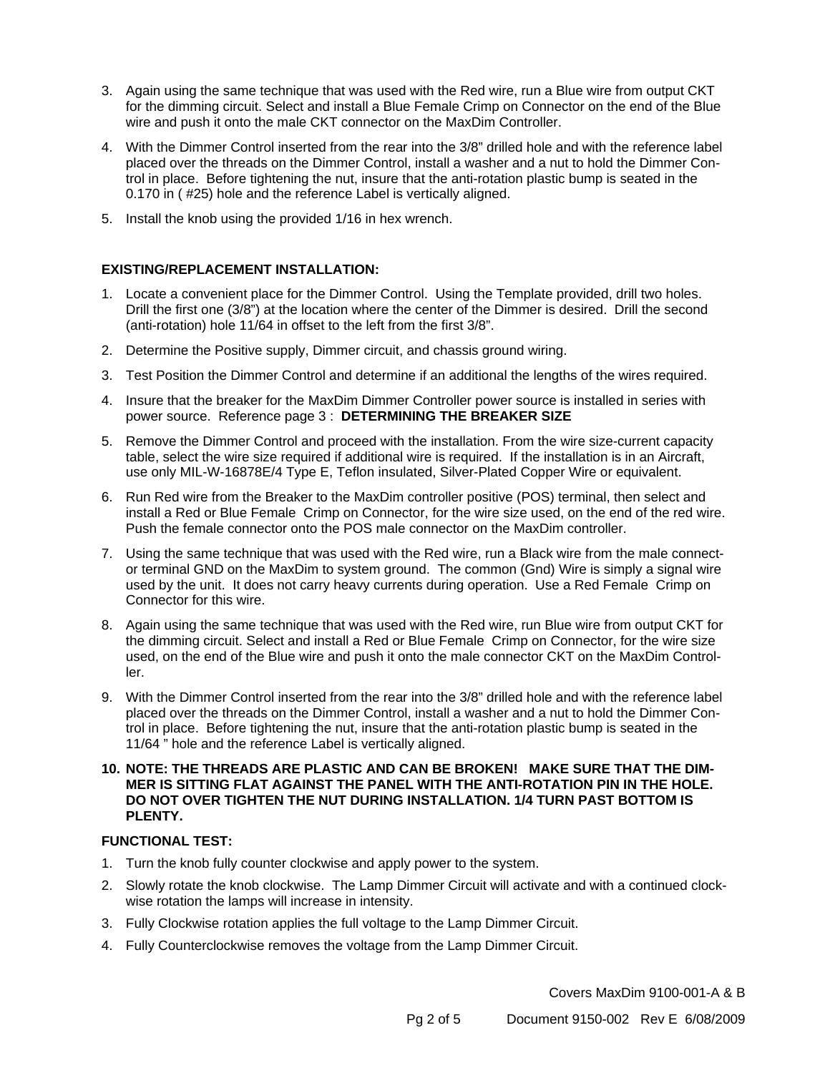- 3. Again using the same technique that was used with the Red wire, run a Blue wire from output CKT for the dimming circuit. Select and install a Blue Female Crimp on Connector on the end of the Blue wire and push it onto the male CKT connector on the MaxDim Controller.
- 4. With the Dimmer Control inserted from the rear into the 3/8" drilled hole and with the reference label placed over the threads on the Dimmer Control, install a washer and a nut to hold the Dimmer Control in place. Before tightening the nut, insure that the anti-rotation plastic bump is seated in the 0.170 in ( #25) hole and the reference Label is vertically aligned.
- 5. Install the knob using the provided 1/16 in hex wrench.

#### **EXISTING/REPLACEMENT INSTALLATION:**

- 1. Locate a convenient place for the Dimmer Control. Using the Template provided, drill two holes. Drill the first one (3/8") at the location where the center of the Dimmer is desired. Drill the second (anti-rotation) hole 11/64 in offset to the left from the first 3/8".
- 2. Determine the Positive supply, Dimmer circuit, and chassis ground wiring.
- 3. Test Position the Dimmer Control and determine if an additional the lengths of the wires required.
- 4. Insure that the breaker for the MaxDim Dimmer Controller power source is installed in series with power source. Reference page 3 : **DETERMINING THE BREAKER SIZE**
- 5. Remove the Dimmer Control and proceed with the installation. From the wire size-current capacity table, select the wire size required if additional wire is required. If the installation is in an Aircraft, use only MIL-W-16878E/4 Type E, Teflon insulated, Silver-Plated Copper Wire or equivalent.
- 6. Run Red wire from the Breaker to the MaxDim controller positive (POS) terminal, then select and install a Red or Blue Female Crimp on Connector, for the wire size used, on the end of the red wire. Push the female connector onto the POS male connector on the MaxDim controller.
- 7. Using the same technique that was used with the Red wire, run a Black wire from the male connector terminal GND on the MaxDim to system ground. The common (Gnd) Wire is simply a signal wire used by the unit. It does not carry heavy currents during operation. Use a Red Female Crimp on Connector for this wire.
- 8. Again using the same technique that was used with the Red wire, run Blue wire from output CKT for the dimming circuit. Select and install a Red or Blue Female Crimp on Connector, for the wire size used, on the end of the Blue wire and push it onto the male connector CKT on the MaxDim Controller.
- 9. With the Dimmer Control inserted from the rear into the 3/8" drilled hole and with the reference label placed over the threads on the Dimmer Control, install a washer and a nut to hold the Dimmer Control in place. Before tightening the nut, insure that the anti-rotation plastic bump is seated in the 11/64 " hole and the reference Label is vertically aligned.
- **10. NOTE: THE THREADS ARE PLASTIC AND CAN BE BROKEN! MAKE SURE THAT THE DIM-MER IS SITTING FLAT AGAINST THE PANEL WITH THE ANTI-ROTATION PIN IN THE HOLE. DO NOT OVER TIGHTEN THE NUT DURING INSTALLATION. 1/4 TURN PAST BOTTOM IS PLENTY.**

#### **FUNCTIONAL TEST:**

- 1. Turn the knob fully counter clockwise and apply power to the system.
- 2. Slowly rotate the knob clockwise. The Lamp Dimmer Circuit will activate and with a continued clockwise rotation the lamps will increase in intensity.
- 3. Fully Clockwise rotation applies the full voltage to the Lamp Dimmer Circuit.
- 4. Fully Counterclockwise removes the voltage from the Lamp Dimmer Circuit.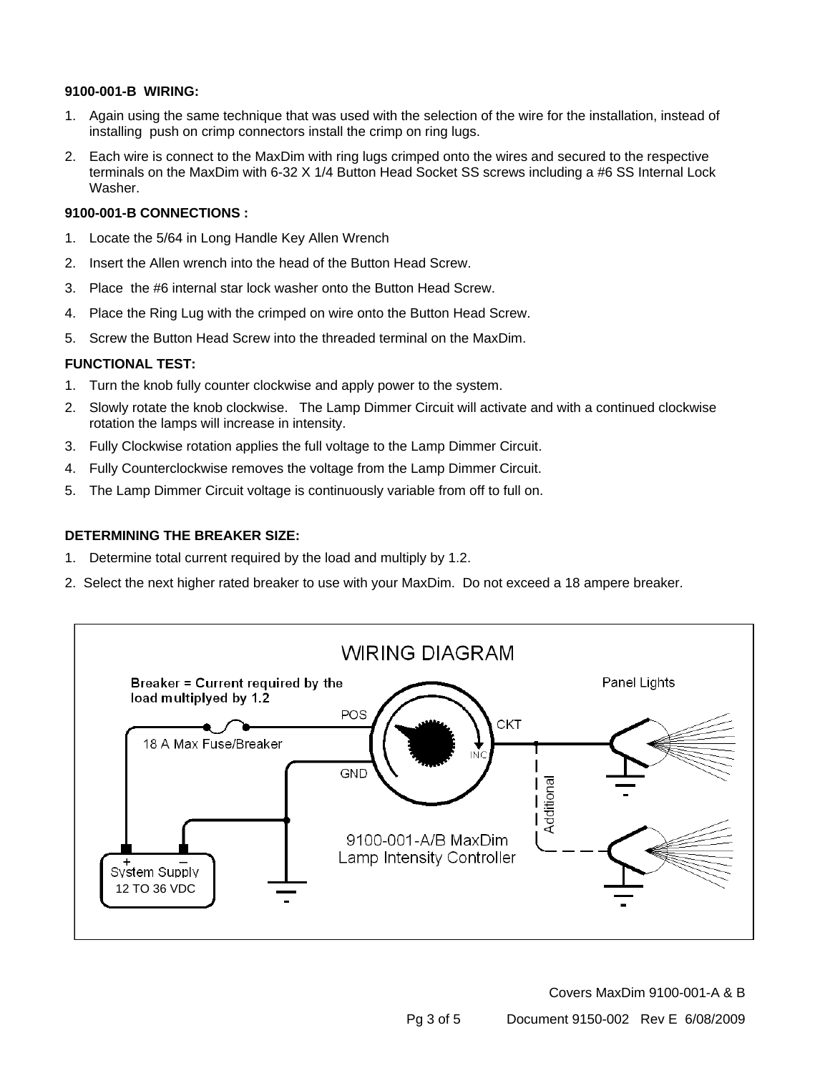#### **9100-001-B WIRING:**

- 1. Again using the same technique that was used with the selection of the wire for the installation, instead of installing push on crimp connectors install the crimp on ring lugs.
- 2. Each wire is connect to the MaxDim with ring lugs crimped onto the wires and secured to the respective terminals on the MaxDim with 6-32 X 1/4 Button Head Socket SS screws including a #6 SS Internal Lock Washer.

#### **9100-001-B CONNECTIONS :**

- 1. Locate the 5/64 in Long Handle Key Allen Wrench
- 2. Insert the Allen wrench into the head of the Button Head Screw.
- 3. Place the #6 internal star lock washer onto the Button Head Screw.
- 4. Place the Ring Lug with the crimped on wire onto the Button Head Screw.
- 5. Screw the Button Head Screw into the threaded terminal on the MaxDim.

#### **FUNCTIONAL TEST:**

- 1. Turn the knob fully counter clockwise and apply power to the system.
- 2. Slowly rotate the knob clockwise. The Lamp Dimmer Circuit will activate and with a continued clockwise rotation the lamps will increase in intensity.
- 3. Fully Clockwise rotation applies the full voltage to the Lamp Dimmer Circuit.
- 4. Fully Counterclockwise removes the voltage from the Lamp Dimmer Circuit.
- 5. The Lamp Dimmer Circuit voltage is continuously variable from off to full on.

#### **DETERMINING THE BREAKER SIZE:**

- 1. Determine total current required by the load and multiply by 1.2.
- 2. Select the next higher rated breaker to use with your MaxDim. Do not exceed a 18 ampere breaker.



Covers MaxDim 9100-001-A & B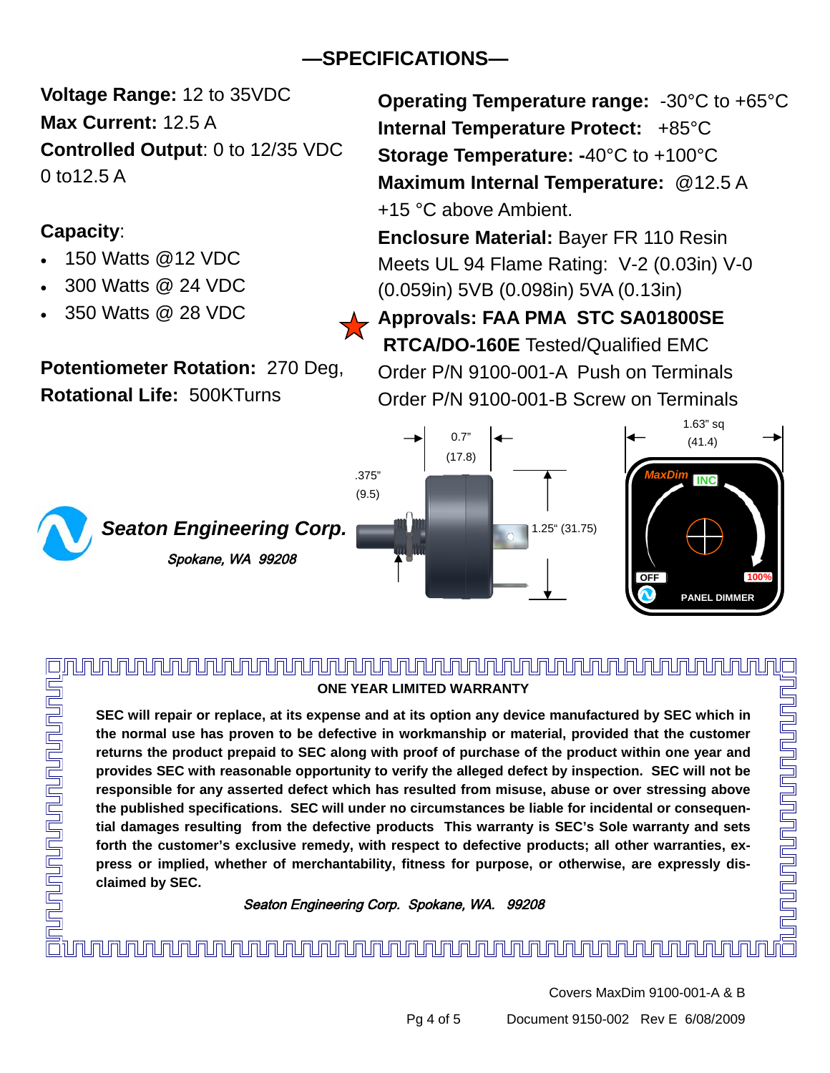# **—SPECIFICATIONS—**

**Voltage Range:** 12 to 35VDC **Max Current:** 12.5 A **Controlled Output**: 0 to 12/35 VDC 0 to12.5 A

## **Capacity**:

- 150 Watts @12 VDC
- 300 Watts @ 24 VDC
- 350 Watts @ 28 VDC

**Potentiometer Rotation:** 270 Deg, **Rotational Life:** 500KTurns



**Operating Temperature range:** -30°C to +65°C **Internal Temperature Protect:** +85°C **Storage Temperature: -**40°C to +100°C **Maximum Internal Temperature:** @12.5 A +15 °C above Ambient.

**Enclosure Material:** Bayer FR 110 Resin Meets UL 94 Flame Rating: V-2 (0.03in) V-0 (0.059in) 5VB (0.098in) 5VA (0.13in)

**Approvals: FAA PMA STC SA01800SE RTCA/DO-160E** Tested/Qualified EMC

Order P/N 9100-001-A Push on Terminals Order P/N 9100-001-B Screw on Terminals



<u>nununununununun adalah per</u> **ONE YEAR LIMITED WARRANTY** 

**SEC will repair or replace, at its expense and at its option any device manufactured by SEC which in the normal use has proven to be defective in workmanship or material, provided that the customer returns the product prepaid to SEC along with proof of purchase of the product within one year and provides SEC with reasonable opportunity to verify the alleged defect by inspection. SEC will not be responsible for any asserted defect which has resulted from misuse, abuse or over stressing above the published specifications. SEC will under no circumstances be liable for incidental or consequential damages resulting from the defective products This warranty is SEC's Sole warranty and sets forth the customer's exclusive remedy, with respect to defective products; all other warranties, express or implied, whether of merchantability, fitness for purpose, or otherwise, are expressly disclaimed by SEC.** 

Seaton Engineering Corp. Spokane, WA. 99208

# 

<u>unununununununun tahun 1999 (</u>